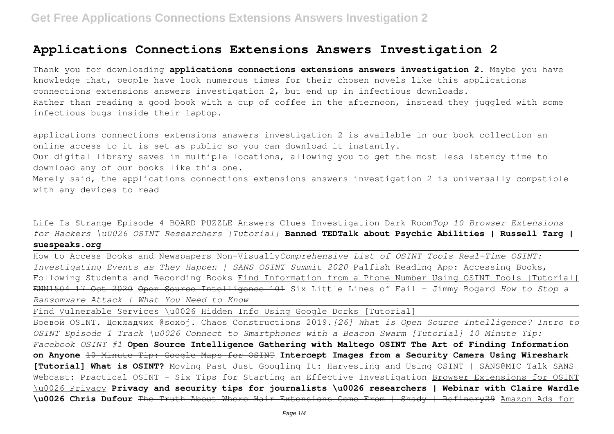# **Applications Connections Extensions Answers Investigation 2**

Thank you for downloading **applications connections extensions answers investigation 2**. Maybe you have knowledge that, people have look numerous times for their chosen novels like this applications connections extensions answers investigation 2, but end up in infectious downloads. Rather than reading a good book with a cup of coffee in the afternoon, instead they juggled with some infectious bugs inside their laptop.

applications connections extensions answers investigation 2 is available in our book collection an online access to it is set as public so you can download it instantly. Our digital library saves in multiple locations, allowing you to get the most less latency time to

download any of our books like this one.

Merely said, the applications connections extensions answers investigation 2 is universally compatible with any devices to read

Life Is Strange Episode 4 BOARD PUZZLE Answers Clues Investigation Dark Room*Top 10 Browser Extensions for Hackers \u0026 OSINT Researchers [Tutorial]* **Banned TEDTalk about Psychic Abilities | Russell Targ |**

# **suespeaks.org**

How to Access Books and Newspapers Non-Visually*Comprehensive List of OSINT Tools Real-Time OSINT: Investigating Events as They Happen | SANS OSINT Summit 2020* Palfish Reading App: Accessing Books, Following Students and Recording Books Find Information from a Phone Number Using OSINT Tools [Tutorial] ENN1504 17 Oct 2020 Open Source Intelligence 101 Six Little Lines of Fail - Jimmy Bogard *How to Stop a Ransomware Attack | What You Need to Know*

Find Vulnerable Services \u0026 Hidden Info Using Google Dorks [Tutorial]

Боевой OSINT. Докладчик @soxoj. Сhaos Сonstructions 2019.*[26] What is Open Source Intelligence? Intro to OSINT Episode 1 Track \u0026 Connect to Smartphones with a Beacon Swarm [Tutorial] 10 Minute Tip: Facebook OSINT #1* **Open Source Intelligence Gathering with Maltego OSINT The Art of Finding Information**

**on Anyone** 10 Minute Tip: Google Maps for OSINT **Intercept Images from a Security Camera Using Wireshark [Tutorial] What is OSINT?** Moving Past Just Googling It: Harvesting and Using OSINT | SANS@MIC Talk SANS Webcast: Practical OSINT - Six Tips for Starting an Effective Investigation Browser Extensions for OSINT \u0026 Privacy **Privacy and security tips for journalists \u0026 researchers | Webinar with Claire Wardle \u0026 Chris Dufour** The Truth About Where Hair Extensions Come From | Shady | Refinery29 Amazon Ads for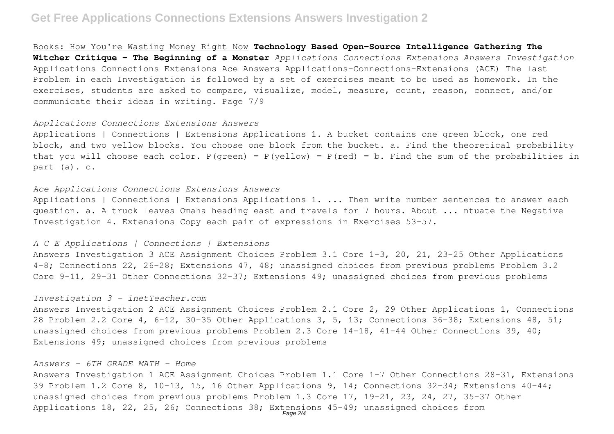# **Get Free Applications Connections Extensions Answers Investigation 2**

Books: How You're Wasting Money Right Now **Technology Based Open-Source Intelligence Gathering The Witcher Critique - The Beginning of a Monster** *Applications Connections Extensions Answers Investigation* Applications Connections Extensions Ace Answers Applications-Connections-Extensions (ACE) The last Problem in each Investigation is followed by a set of exercises meant to be used as homework. In the exercises, students are asked to compare, visualize, model, measure, count, reason, connect, and/or communicate their ideas in writing. Page 7/9

#### *Applications Connections Extensions Answers*

Applications | Connections | Extensions Applications 1. A bucket contains one green block, one red block, and two yellow blocks. You choose one block from the bucket. a. Find the theoretical probability that you will choose each color.  $P(qreen) = P(yellow) = P(red) = b$ . Find the sum of the probabilities in part (a). c.

## *Ace Applications Connections Extensions Answers*

Applications | Connections | Extensions Applications 1. ... Then write number sentences to answer each question. a. A truck leaves Omaha heading east and travels for 7 hours. About ... ntuate the Negative Investigation 4. Extensions Copy each pair of expressions in Exercises 53–57.

### *A C E Applications | Connections | Extensions*

Answers Investigation 3 ACE Assignment Choices Problem 3.1 Core 1–3, 20, 21, 23–25 Other Applications 4–8; Connections 22, 26–28; Extensions 47, 48; unassigned choices from previous problems Problem 3.2 Core 9–11, 29–31 Other Connections 32–37; Extensions 49; unassigned choices from previous problems

#### *Investigation 3 - inetTeacher.com*

Answers Investigation 2 ACE Assignment Choices Problem 2.1 Core 2, 29 Other Applications 1, Connections 28 Problem 2.2 Core 4, 6–12, 30–35 Other Applications 3, 5, 13; Connections 36–38; Extensions 48, 51; unassigned choices from previous problems Problem 2.3 Core 14–18, 41–44 Other Connections 39, 40; Extensions 49; unassigned choices from previous problems

### *Answers - 6TH GRADE MATH - Home*

Answers Investigation 1 ACE Assignment Choices Problem 1.1 Core 1–7 Other Connections 28–31, Extensions 39 Problem 1.2 Core 8, 10–13, 15, 16 Other Applications 9, 14; Connections 32–34; Extensions 40–44; unassigned choices from previous problems Problem 1.3 Core 17, 19-21, 23, 24, 27, 35-37 Other Applications 18, 22, 25, 26; Connections 38; Extensions 45-49; unassigned choices from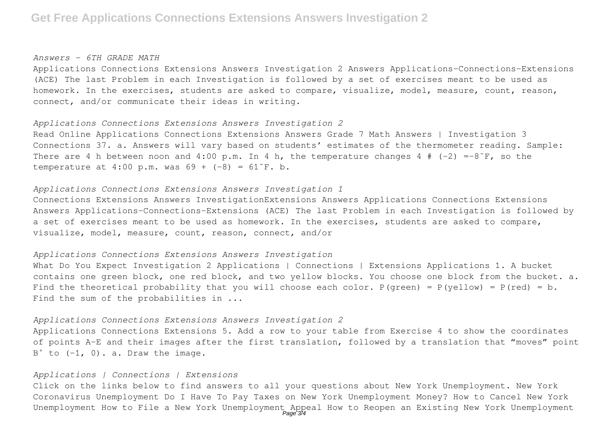# **Get Free Applications Connections Extensions Answers Investigation 2**

#### *Answers - 6TH GRADE MATH*

Applications Connections Extensions Answers Investigation 2 Answers Applications-Connections-Extensions (ACE) The last Problem in each Investigation is followed by a set of exercises meant to be used as homework. In the exercises, students are asked to compare, visualize, model, measure, count, reason, connect, and/or communicate their ideas in writing.

#### *Applications Connections Extensions Answers Investigation 2*

Read Online Applications Connections Extensions Answers Grade 7 Math Answers | Investigation 3 Connections 37. a. Answers will vary based on students' estimates of the thermometer reading. Sample: There are 4 h between noon and 4:00 p.m. In 4 h, the temperature changes 4 #  $(-2) = -8$ °F, so the temperature at 4:00 p.m. was  $69 + (-8) = 61$ <sup>-</sup>F. b.

### *Applications Connections Extensions Answers Investigation 1*

Connections Extensions Answers InvestigationExtensions Answers Applications Connections Extensions Answers Applications-Connections-Extensions (ACE) The last Problem in each Investigation is followed by a set of exercises meant to be used as homework. In the exercises, students are asked to compare, visualize, model, measure, count, reason, connect, and/or

# *Applications Connections Extensions Answers Investigation*

What Do You Expect Investigation 2 Applications | Connections | Extensions Applications 1. A bucket contains one green block, one red block, and two yellow blocks. You choose one block from the bucket. a. Find the theoretical probability that you will choose each color.  $P(qreen) = P(yellow) = P(red) = b$ . Find the sum of the probabilities in ...

#### *Applications Connections Extensions Answers Investigation 2*

Applications Connections Extensions 5. Add a row to your table from Exercise 4 to show the coordinates of points A–E and their images after the first translation, followed by a translation that "moves" point  $B^{\circ}$  to  $(-1, 0)$ . a. Draw the image.

# *Applications | Connections | Extensions*

Click on the links below to find answers to all your questions about New York Unemployment. New York Coronavirus Unemployment Do I Have To Pay Taxes on New York Unemployment Money? How to Cancel New York Unemployment How to File a New York Unemployment Appeal How to Reopen an Existing New York Unemployment